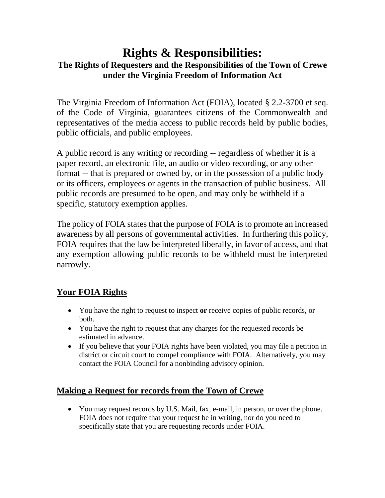# **Rights & Responsibilities: The Rights of Requesters and the Responsibilities of the Town of Crewe under the Virginia Freedom of Information Act**

The Virginia Freedom of Information Act (FOIA), located § 2.2-3700 et seq. of the Code of Virginia, guarantees citizens of the Commonwealth and representatives of the media access to public records held by public bodies, public officials, and public employees.

A public record is any writing or recording -- regardless of whether it is a paper record, an electronic file, an audio or video recording, or any other format -- that is prepared or owned by, or in the possession of a public body or its officers, employees or agents in the transaction of public business. All public records are presumed to be open, and may only be withheld if a specific, statutory exemption applies.

The policy of FOIA states that the purpose of FOIA is to promote an increased awareness by all persons of governmental activities. In furthering this policy, FOIA requires that the law be interpreted liberally, in favor of access, and that any exemption allowing public records to be withheld must be interpreted narrowly.

## **Your FOIA Rights**

- You have the right to request to inspect **or** receive copies of public records, or both.
- You have the right to request that any charges for the requested records be estimated in advance.
- If you believe that your FOIA rights have been violated, you may file a petition in district or circuit court to compel compliance with FOIA. Alternatively, you may contact the FOIA Council for a nonbinding advisory opinion.

## **Making a Request for records from the Town of Crewe**

 You may request records by U.S. Mail, fax, e-mail, in person, or over the phone. FOIA does not require that your request be in writing, nor do you need to specifically state that you are requesting records under FOIA.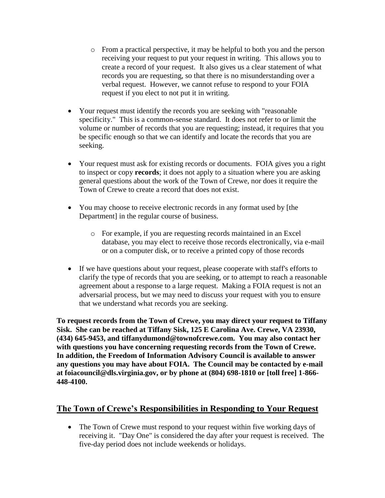- o From a practical perspective, it may be helpful to both you and the person receiving your request to put your request in writing. This allows you to create a record of your request. It also gives us a clear statement of what records you are requesting, so that there is no misunderstanding over a verbal request. However, we cannot refuse to respond to your FOIA request if you elect to not put it in writing.
- Your request must identify the records you are seeking with "reasonable specificity." This is a common-sense standard. It does not refer to or limit the volume or number of records that you are requesting; instead, it requires that you be specific enough so that we can identify and locate the records that you are seeking.
- Your request must ask for existing records or documents. FOIA gives you a right to inspect or copy **records**; it does not apply to a situation where you are asking general questions about the work of the Town of Crewe, nor does it require the Town of Crewe to create a record that does not exist.
- You may choose to receive electronic records in any format used by [the Department] in the regular course of business.
	- o For example, if you are requesting records maintained in an Excel database, you may elect to receive those records electronically, via e-mail or on a computer disk, or to receive a printed copy of those records
- If we have questions about your request, please cooperate with staff's efforts to clarify the type of records that you are seeking, or to attempt to reach a reasonable agreement about a response to a large request. Making a FOIA request is not an adversarial process, but we may need to discuss your request with you to ensure that we understand what records you are seeking.

**To request records from the Town of Crewe, you may direct your request to Tiffany Sisk. She can be reached at Tiffany Sisk, 125 E Carolina Ave. Crewe, VA 23930, (434) 645-9453, and tiffanydumond@townofcrewe.com. You may also contact her with questions you have concerning requesting records from the Town of Crewe. In addition, the Freedom of Information Advisory Council is available to answer any questions you may have about FOIA. The Council may be contacted by e-mail at foiacouncil@dls.virginia.gov, or by phone at (804) 698-1810 or [toll free] 1-866- 448-4100.**

#### **The Town of Crewe's Responsibilities in Responding to Your Request**

• The Town of Crewe must respond to your request within five working days of receiving it. "Day One" is considered the day after your request is received. The five-day period does not include weekends or holidays.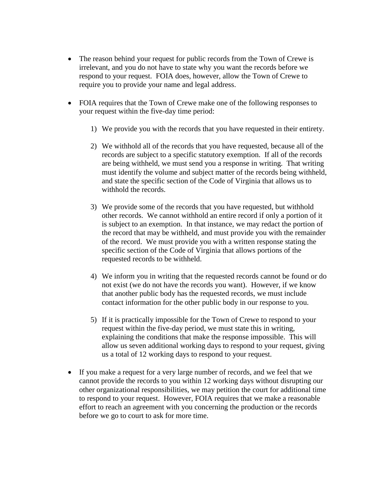- The reason behind your request for public records from the Town of Crewe is irrelevant, and you do not have to state why you want the records before we respond to your request. FOIA does, however, allow the Town of Crewe to require you to provide your name and legal address.
- FOIA requires that the Town of Crewe make one of the following responses to your request within the five-day time period:
	- 1) We provide you with the records that you have requested in their entirety.
	- 2) We withhold all of the records that you have requested, because all of the records are subject to a specific statutory exemption. If all of the records are being withheld, we must send you a response in writing. That writing must identify the volume and subject matter of the records being withheld, and state the specific section of the Code of Virginia that allows us to withhold the records.
	- 3) We provide some of the records that you have requested, but withhold other records. We cannot withhold an entire record if only a portion of it is subject to an exemption. In that instance, we may redact the portion of the record that may be withheld, and must provide you with the remainder of the record. We must provide you with a written response stating the specific section of the Code of Virginia that allows portions of the requested records to be withheld.
	- 4) We inform you in writing that the requested records cannot be found or do not exist (we do not have the records you want). However, if we know that another public body has the requested records, we must include contact information for the other public body in our response to you.
	- 5) If it is practically impossible for the Town of Crewe to respond to your request within the five-day period, we must state this in writing, explaining the conditions that make the response impossible. This will allow us seven additional working days to respond to your request, giving us a total of 12 working days to respond to your request.
- If you make a request for a very large number of records, and we feel that we cannot provide the records to you within 12 working days without disrupting our other organizational responsibilities, we may petition the court for additional time to respond to your request. However, FOIA requires that we make a reasonable effort to reach an agreement with you concerning the production or the records before we go to court to ask for more time.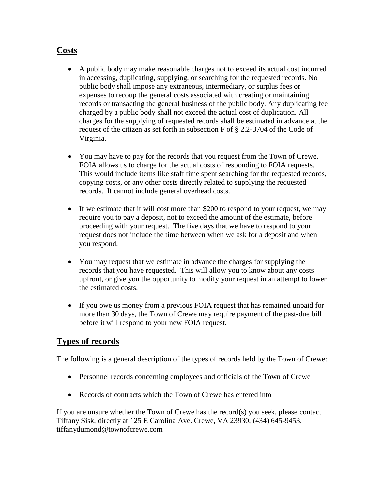### **Costs**

- A public body may make reasonable charges not to exceed its actual cost incurred in accessing, duplicating, supplying, or searching for the requested records. No public body shall impose any extraneous, intermediary, or surplus fees or expenses to recoup the general costs associated with creating or maintaining records or transacting the general business of the public body. Any duplicating fee charged by a public body shall not exceed the actual cost of duplication. All charges for the supplying of requested records shall be estimated in advance at the request of the citizen as set forth in subsection F of § 2.2-3704 of the Code of Virginia.
- You may have to pay for the records that you request from the Town of Crewe. FOIA allows us to charge for the actual costs of responding to FOIA requests. This would include items like staff time spent searching for the requested records, copying costs, or any other costs directly related to supplying the requested records. It cannot include general overhead costs.
- If we estimate that it will cost more than \$200 to respond to your request, we may require you to pay a deposit, not to exceed the amount of the estimate, before proceeding with your request. The five days that we have to respond to your request does not include the time between when we ask for a deposit and when you respond.
- You may request that we estimate in advance the charges for supplying the records that you have requested. This will allow you to know about any costs upfront, or give you the opportunity to modify your request in an attempt to lower the estimated costs.
- If you owe us money from a previous FOIA request that has remained unpaid for more than 30 days, the Town of Crewe may require payment of the past-due bill before it will respond to your new FOIA request.

#### **Types of records**

The following is a general description of the types of records held by the Town of Crewe:

- Personnel records concerning employees and officials of the Town of Crewe
- Records of contracts which the Town of Crewe has entered into

If you are unsure whether the Town of Crewe has the record(s) you seek, please contact Tiffany Sisk, directly at 125 E Carolina Ave. Crewe, VA 23930, (434) 645-9453, tiffanydumond@townofcrewe.com